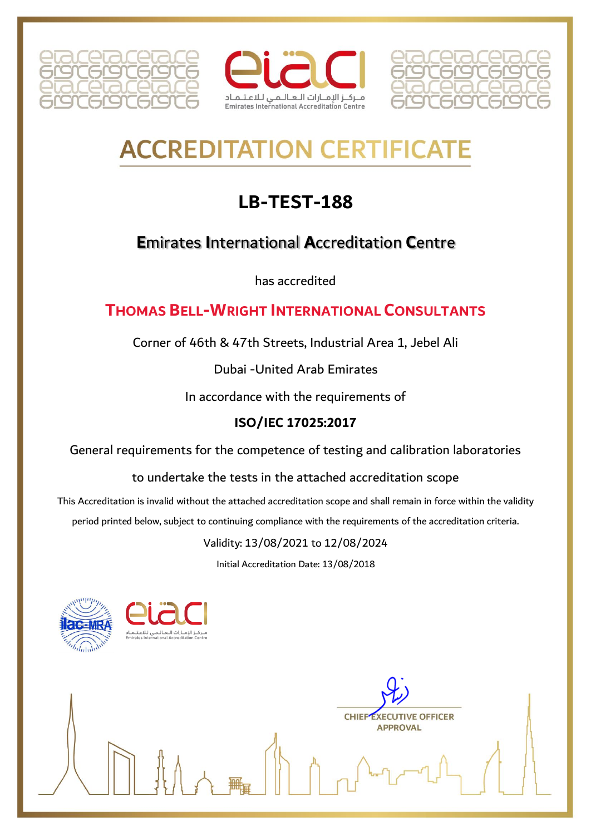





# **ACCREDITATION CERTIFICA**

## **LB-TEST-188**

### **E**mirates **I**nternational **A**ccreditation **C**entre

has accredited

#### **THOMAS BELL-WRIGHT INTERNATIONAL CONSULTANTS**

Corner of 46th & 47th Streets, Industrial Area 1, Jebel Ali

Dubai -United Arab Emirates

In accordance with the requirements of

#### **ISO/IEC 17025:2017**

General requirements for the competence of testing and calibration laboratories

to undertake the tests in the attached accreditation scope

This Accreditation is invalid without the attached accreditation scope and shall remain in force within the validity

period printed below, subject to continuing compliance with the requirements of the accreditation criteria.

Validity: 13/08/2021 to 12/08/2024

Initial Accreditation Date: 13/08/2018



**CHIEF EXECUTIVE OFFICER APPROVAL**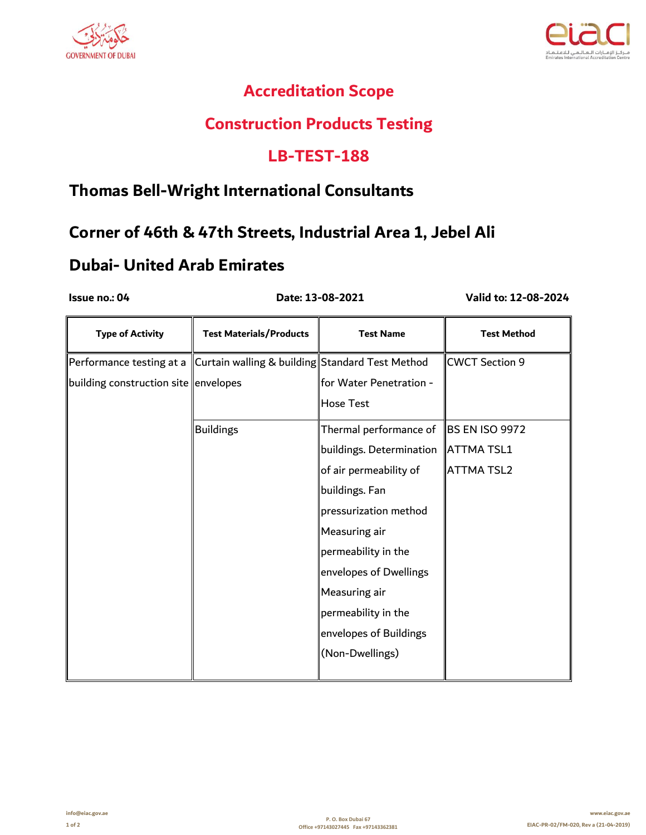



#### **Accreditation Scope**

#### **Construction Products Testing**

#### **LB-TEST-188**

#### **Thomas Bell-Wright International Consultants**

#### **Corner of 46th & 47th Streets, Industrial Area 1, Jebel Ali**

#### **Dubai- United Arab Emirates**

 **Date: 13-08-2021**

**Issue no.: 04 Valid to: 12-08-2024**

| <b>Type of Activity</b>              | <b>Test Materials/Products</b>                  | <b>Test Name</b>                      | <b>Test Method</b>    |
|--------------------------------------|-------------------------------------------------|---------------------------------------|-----------------------|
| Performance testing at a             | Curtain walling & building Standard Test Method |                                       | <b>CWCT Section 9</b> |
| building construction site envelopes |                                                 | for Water Penetration -               |                       |
|                                      |                                                 | <b>Hose Test</b>                      |                       |
|                                      | <b>Buildings</b>                                | Thermal performance of                | <b>BS EN ISO 9972</b> |
|                                      |                                                 | buildings. Determination   ATTMA TSL1 |                       |
|                                      |                                                 | of air permeability of                | <b>ATTMA TSL2</b>     |
|                                      |                                                 | buildings. Fan                        |                       |
|                                      |                                                 | pressurization method                 |                       |
|                                      |                                                 | Measuring air                         |                       |
|                                      |                                                 | permeability in the                   |                       |
|                                      |                                                 | envelopes of Dwellings                |                       |
|                                      |                                                 | Measuring air                         |                       |
|                                      |                                                 | permeability in the                   |                       |
|                                      |                                                 | envelopes of Buildings                |                       |
|                                      |                                                 | (Non-Dwellings)                       |                       |
|                                      |                                                 |                                       |                       |